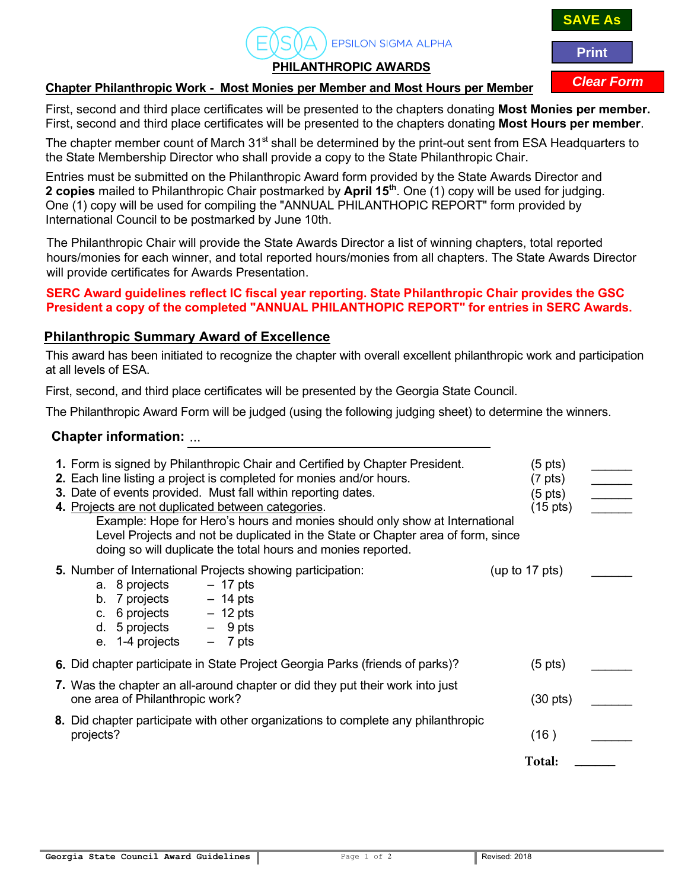# **PHILANTHROPIC AWARDS**

**EPSILON SIGMA ALPHA** 

#### **Chapter Philanthropic Work - Most Monies per Member and Most Hours per Member**

First, second and third place certificates will be presented to the chapters donating **Most Monies per member.** First, second and third place certificates will be presented to the chapters donating **Most Hours per member**.

The chapter member count of March 31<sup>st</sup> shall be determined by the print-out sent from ESA Headquarters to the State Membership Director who shall provide a copy to the State Philanthropic Chair.

Entries must be submitted on the Philanthropic Award form provided by the State Awards Director and **2 copies** mailed to Philanthropic Chair postmarked by **April 15<sup>th</sup>.** One (1) copy will be used for judging. One (1) copy will be used for compiling the "ANNUAL PHILANTHOPIC REPORT" form provided by International Council to be postmarked by June 10th.

The Philanthropic Chair will provide the State Awards Director a list of winning chapters, total reported hours/monies for each winner, and total reported hours/monies from all chapters. The State Awards Director will provide certificates for Awards Presentation.

#### **SERC Award quidelines reflect IC fiscal vear reporting. State Philanthropic Chair provides the GSC President a copy of the completed "ANNUAL PHILANTHOPIC REPORT" for entries in SERC Awards.**

### **Philanthropic Summary Award of Excellence**

This award has been initiated to recognize the chapter with overall excellent philanthropic work and participation at all levels of ESA.

First, second, and third place certificates will be presented by the Georgia State Council.

The Philanthropic Award Form will be judged (using the following judging sheet) to determine the winners.

## **Chapter information: ...**

| 1. Form is signed by Philanthropic Chair and Certified by Chapter President.<br>2. Each line listing a project is completed for monies and/or hours.<br>3. Date of events provided. Must fall within reporting dates.<br>4. Projects are not duplicated between categories.<br>Example: Hope for Hero's hours and monies should only show at International<br>Level Projects and not be duplicated in the State or Chapter area of form, since<br>doing so will duplicate the total hours and monies reported. | (5 pts)<br>$(7 \text{ pts})$<br>$(5 \text{ pts})$<br>(15 pts) | $\overline{\phantom{a}}$ |
|----------------------------------------------------------------------------------------------------------------------------------------------------------------------------------------------------------------------------------------------------------------------------------------------------------------------------------------------------------------------------------------------------------------------------------------------------------------------------------------------------------------|---------------------------------------------------------------|--------------------------|
| 5. Number of International Projects showing participation:<br>$-17$ pts<br>a. 8 projects<br>$7$ projects $-14$ pts<br>b.<br>$6$ projects $-12$ pts<br>C.<br>$5$ projects $-9$ pts<br>d.<br>e. $1-4$ projects $-7$ pts                                                                                                                                                                                                                                                                                          | (up to $17$ pts)                                              |                          |
| 6. Did chapter participate in State Project Georgia Parks (friends of parks)?                                                                                                                                                                                                                                                                                                                                                                                                                                  | $(5 \text{ pts})$                                             |                          |
| 7. Was the chapter an all-around chapter or did they put their work into just<br>one area of Philanthropic work?                                                                                                                                                                                                                                                                                                                                                                                               | $(30 \text{ pts})$                                            |                          |
| 8. Did chapter participate with other organizations to complete any philanthropic<br>projects?                                                                                                                                                                                                                                                                                                                                                                                                                 | (16)                                                          |                          |
|                                                                                                                                                                                                                                                                                                                                                                                                                                                                                                                | Total:                                                        |                          |